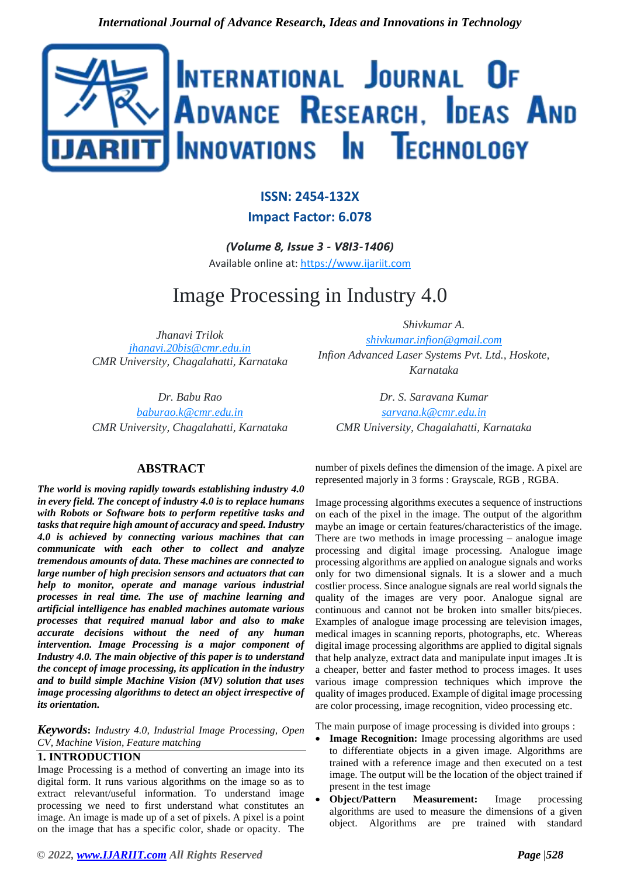

# **ISSN: 2454-132X**

# **Impact Factor: 6.078**

*(Volume 8, Issue 3 - V8I3-1406)* Available online at: [https://www.ijariit.com](https://www.ijariit.com/?utm_source=pdf&utm_medium=edition&utm_campaign=OmAkSols&utm_term=V8I3-1406)

# Image Processing in Industry 4.0

*Jhanavi Trilok [jhanavi.20bis@cmr.edu.in](mailto:jhanavi.20bis@cmr.edu.in) CMR University, Chagalahatti, Karnataka*

*Dr. Babu Rao*

*[baburao.k@cmr.edu.in](mailto:baburao.k@cmr.edu.in) CMR University, Chagalahatti, Karnataka*

# **ABSTRACT**

*The world is moving rapidly towards establishing industry 4.0 in every field. The concept of industry 4.0 is to replace humans with Robots or Software bots to perform repetitive tasks and tasks that require high amount of accuracy and speed. Industry 4.0 is achieved by connecting various machines that can communicate with each other to collect and analyze tremendous amounts of data. These machines are connected to large number of high precision sensors and actuators that can help to monitor, operate and manage various industrial processes in real time. The use of machine learning and artificial intelligence has enabled machines automate various processes that required manual labor and also to make accurate decisions without the need of any human intervention. Image Processing is a major component of Industry 4.0. The main objective of this paper is to understand the concept of image processing, its application in the industry and to build simple Machine Vision (MV) solution that uses image processing algorithms to detect an object irrespective of its orientation.*

*Keywords***:** *Industry 4.0, Industrial Image Processing, Open CV, Machine Vision, Feature matching*

# **1. INTRODUCTION**

Image Processing is a method of converting an image into its digital form. It runs various algorithms on the image so as to extract relevant/useful information. To understand image processing we need to first understand what constitutes an image. An image is made up of a set of pixels. A pixel is a point on the image that has a specific color, shade or opacity. The

*Shivkumar A. [shivkumar.infion@gmail.com](mailto:shivkumar.infion@gmail.com) Infion Advanced Laser Systems Pvt. Ltd., Hoskote,* 

*Karnataka*

*Dr. S. Saravana Kumar [sarvana.k@cmr.edu.in](mailto:sarvana.k@cmr.edu.in) CMR University, Chagalahatti, Karnataka*

number of pixels defines the dimension of the image. A pixel are represented majorly in 3 forms : Grayscale, RGB , RGBA.

Image processing algorithms executes a sequence of instructions on each of the pixel in the image. The output of the algorithm maybe an image or certain features/characteristics of the image. There are two methods in image processing – analogue image processing and digital image processing. Analogue image processing algorithms are applied on analogue signals and works only for two dimensional signals. It is a slower and a much costlier process. Since analogue signals are real world signals the quality of the images are very poor. Analogue signal are continuous and cannot not be broken into smaller bits/pieces. Examples of analogue image processing are television images, medical images in scanning reports, photographs, etc. Whereas digital image processing algorithms are applied to digital signals that help analyze, extract data and manipulate input images .It is a cheaper, better and faster method to process images. It uses various image compression techniques which improve the quality of images produced. Example of digital image processing are color processing, image recognition, video processing etc.

The main purpose of image processing is divided into groups :

- **Image Recognition:** Image processing algorithms are used to differentiate objects in a given image. Algorithms are trained with a reference image and then executed on a test image. The output will be the location of the object trained if present in the test image
- **Object/Pattern Measurement:** Image processing algorithms are used to measure the dimensions of a given object. Algorithms are pre trained with standard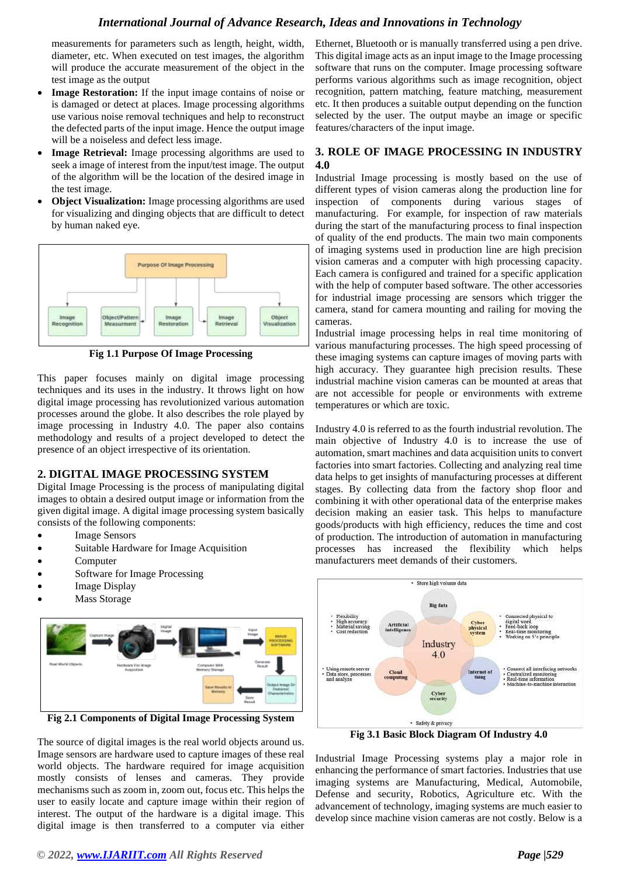# *International Journal of Advance Research, Ideas and Innovations in Technology*

measurements for parameters such as length, height, width, diameter, etc. When executed on test images, the algorithm will produce the accurate measurement of the object in the test image as the output

- **Image Restoration:** If the input image contains of noise or is damaged or detect at places. Image processing algorithms use various noise removal techniques and help to reconstruct the defected parts of the input image. Hence the output image will be a noiseless and defect less image.
- **Image Retrieval:** Image processing algorithms are used to seek a image of interest from the input/test image. The output of the algorithm will be the location of the desired image in the test image.
- **Object Visualization:** Image processing algorithms are used for visualizing and dinging objects that are difficult to detect by human naked eye.



**Fig 1.1 Purpose Of Image Processing**

This paper focuses mainly on digital image processing techniques and its uses in the industry. It throws light on how digital image processing has revolutionized various automation processes around the globe. It also describes the role played by image processing in Industry 4.0. The paper also contains methodology and results of a project developed to detect the presence of an object irrespective of its orientation.

# **2. DIGITAL IMAGE PROCESSING SYSTEM**

Digital Image Processing is the process of manipulating digital images to obtain a desired output image or information from the given digital image. A digital image processing system basically consists of the following components:

- **Image Sensors**
- Suitable Hardware for Image Acquisition
- **Computer**
- Software for Image Processing
- Image Display
- **Mass Storage**



**Fig 2.1 Components of Digital Image Processing System**

The source of digital images is the real world objects around us. Image sensors are hardware used to capture images of these real world objects. The hardware required for image acquisition mostly consists of lenses and cameras. They provide mechanisms such as zoom in, zoom out, focus etc. This helps the user to easily locate and capture image within their region of interest. The output of the hardware is a digital image. This digital image is then transferred to a computer via either

Ethernet, Bluetooth or is manually transferred using a pen drive. This digital image acts as an input image to the Image processing software that runs on the computer. Image processing software performs various algorithms such as image recognition, object recognition, pattern matching, feature matching, measurement etc. It then produces a suitable output depending on the function selected by the user. The output maybe an image or specific features/characters of the input image.

# **3. ROLE OF IMAGE PROCESSING IN INDUSTRY 4.0**

Industrial Image processing is mostly based on the use of different types of vision cameras along the production line for inspection of components during various stages of manufacturing. For example, for inspection of raw materials during the start of the manufacturing process to final inspection of quality of the end products. The main two main components of imaging systems used in production line are high precision vision cameras and a computer with high processing capacity. Each camera is configured and trained for a specific application with the help of computer based software. The other accessories for industrial image processing are sensors which trigger the camera, stand for camera mounting and railing for moving the cameras.

Industrial image processing helps in real time monitoring of various manufacturing processes. The high speed processing of these imaging systems can capture images of moving parts with high accuracy. They guarantee high precision results. These industrial machine vision cameras can be mounted at areas that are not accessible for people or environments with extreme temperatures or which are toxic.

Industry 4.0 is referred to as the fourth industrial revolution. The main objective of Industry 4.0 is to increase the use of automation, smart machines and data acquisition units to convert factories into smart factories. Collecting and analyzing real time data helps to get insights of manufacturing processes at different stages. By collecting data from the factory shop floor and combining it with other operational data of the enterprise makes decision making an easier task. This helps to manufacture goods/products with high efficiency, reduces the time and cost of production. The introduction of automation in manufacturing processes has increased the flexibility which helps manufacturers meet demands of their customers.



**Fig 3.1 Basic Block Diagram Of Industry 4.0**

Industrial Image Processing systems play a major role in enhancing the performance of smart factories. Industries that use imaging systems are Manufacturing, Medical, Automobile, Defense and security, Robotics, Agriculture etc. With the advancement of technology, imaging systems are much easier to develop since machine vision cameras are not costly. Below is a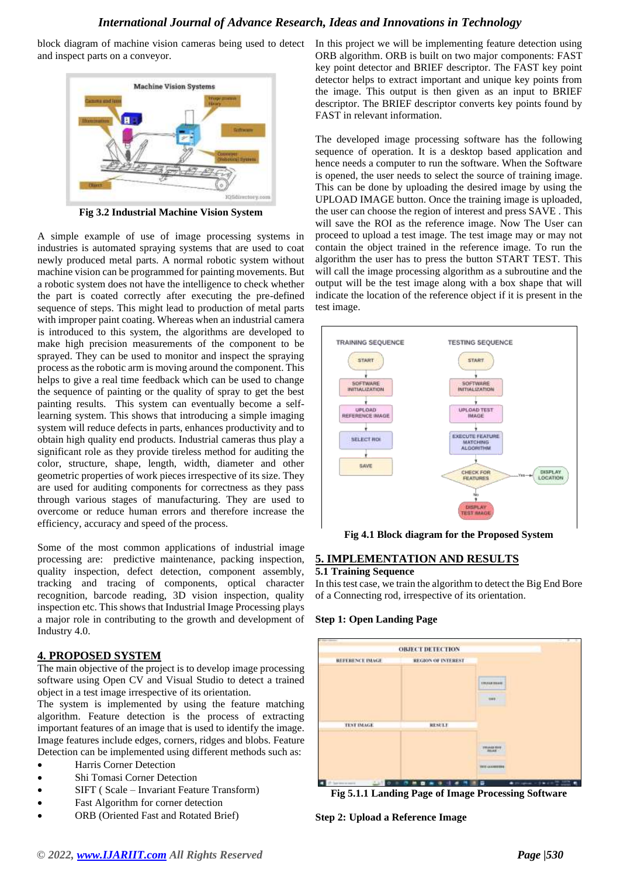block diagram of machine vision cameras being used to detect and inspect parts on a conveyor.



**Fig 3.2 Industrial Machine Vision System**

A simple example of use of image processing systems in industries is automated spraying systems that are used to coat newly produced metal parts. A normal robotic system without machine vision can be programmed for painting movements. But a robotic system does not have the intelligence to check whether the part is coated correctly after executing the pre-defined sequence of steps. This might lead to production of metal parts with improper paint coating. Whereas when an industrial camera is introduced to this system, the algorithms are developed to make high precision measurements of the component to be sprayed. They can be used to monitor and inspect the spraying process as the robotic arm is moving around the component. This helps to give a real time feedback which can be used to change the sequence of painting or the quality of spray to get the best painting results. This system can eventually become a selflearning system. This shows that introducing a simple imaging system will reduce defects in parts, enhances productivity and to obtain high quality end products. Industrial cameras thus play a significant role as they provide tireless method for auditing the color, structure, shape, length, width, diameter and other geometric properties of work pieces irrespective of its size. They are used for auditing components for correctness as they pass through various stages of manufacturing. They are used to overcome or reduce human errors and therefore increase the efficiency, accuracy and speed of the process.

Some of the most common applications of industrial image processing are: predictive maintenance, packing inspection, quality inspection, defect detection, component assembly, tracking and tracing of components, optical character recognition, barcode reading, 3D vision inspection, quality inspection etc. This shows that Industrial Image Processing plays a major role in contributing to the growth and development of Industry 4.0.

#### **4. PROPOSED SYSTEM**

The main objective of the project is to develop image processing software using Open CV and Visual Studio to detect a trained object in a test image irrespective of its orientation.

The system is implemented by using the feature matching algorithm. Feature detection is the process of extracting important features of an image that is used to identify the image. Image features include edges, corners, ridges and blobs. Feature Detection can be implemented using different methods such as:

- Harris Corner Detection
- Shi Tomasi Corner Detection
- SIFT ( Scale Invariant Feature Transform)
- Fast Algorithm for corner detection
- ORB (Oriented Fast and Rotated Brief)

In this project we will be implementing feature detection using ORB algorithm. ORB is built on two major components: FAST key point detector and BRIEF descriptor. The FAST key point detector helps to extract important and unique key points from the image. This output is then given as an input to BRIEF descriptor. The BRIEF descriptor converts key points found by FAST in relevant information.

The developed image processing software has the following sequence of operation. It is a desktop based application and hence needs a computer to run the software. When the Software is opened, the user needs to select the source of training image. This can be done by uploading the desired image by using the UPLOAD IMAGE button. Once the training image is uploaded, the user can choose the region of interest and press SAVE . This will save the ROI as the reference image. Now The User can proceed to upload a test image. The test image may or may not contain the object trained in the reference image. To run the algorithm the user has to press the button START TEST. This will call the image processing algorithm as a subroutine and the output will be the test image along with a box shape that will indicate the location of the reference object if it is present in the test image.



**Fig 4.1 Block diagram for the Proposed System**

#### **5. IMPLEMENTATION AND RESULTS**

#### **5.1 Training Sequence**

In this test case, we train the algorithm to detect the Big End Bore of a Connecting rod, irrespective of its orientation.

#### **Step 1: Open Landing Page**



**Fig 5.1.1 Landing Page of Image Processing Software**

**Step 2: Upload a Reference Image**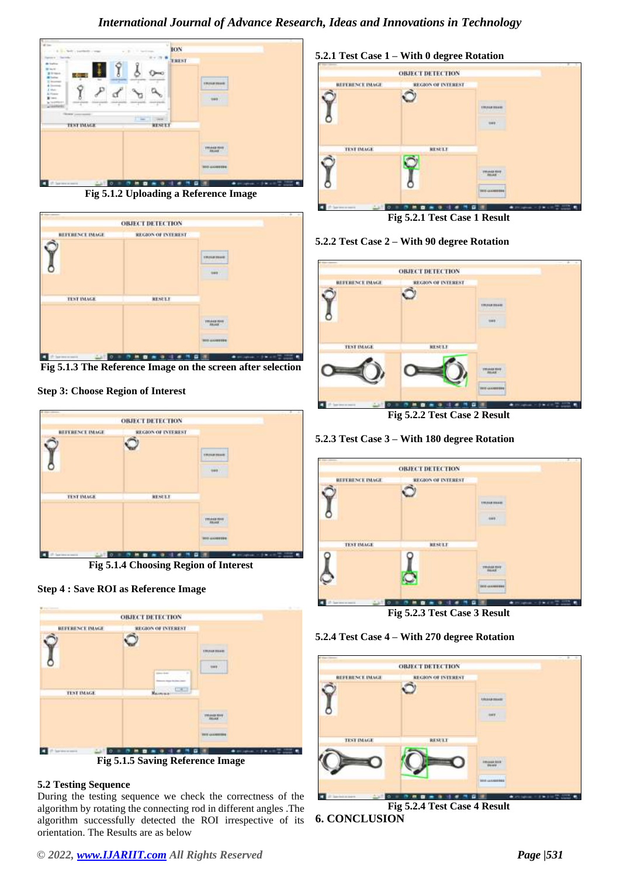

**Fig 5.1.2 Uploading a Reference Image**



**Fig 5.1.3 The Reference Image on the screen after selection**

#### **Step 3: Choose Region of Interest**



**Fig 5.1.4 Choosing Region of Interest**





#### **5.2 Testing Sequence**

During the testing sequence we check the correctness of the algorithm by rotating the connecting rod in different angles .The algorithm successfully detected the ROI irrespective of its orientation. The Results are as below



**Fig 5.2.1 Test Case 1 Result**

#### **5.2.2 Test Case 2 – With 90 degree Rotation**



**Fig 5.2.2 Test Case 2 Result**

# **5.2.3 Test Case 3 – With 180 degree Rotation**



**Fig 5.2.3 Test Case 3 Result**





**Fig 5.2.4 Test Case 4 Result 6. CONCLUSION**